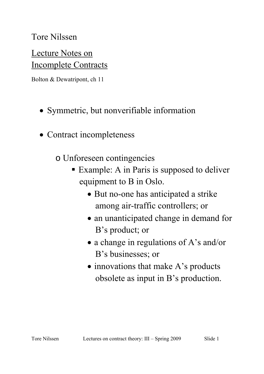#### Tore Nilssen

# Lecture Notes on Incomplete Contracts

Bolton & Dewatripont, ch 11

- Symmetric, but nonverifiable information
- Contract incompleteness
	- o Unforeseen contingencies
		- Example: A in Paris is supposed to deliver equipment to B in Oslo.
			- But no-one has anticipated a strike among air-traffic controllers; or
			- an unanticipated change in demand for B's product; or
			- a change in regulations of A's and/or B's businesses; or
			- innovations that make A's products obsolete as input in B's production.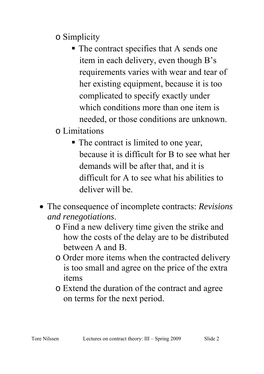o Simplicity

- The contract specifies that A sends one item in each delivery, even though B's requirements varies with wear and tear of her existing equipment, because it is too complicated to specify exactly under which conditions more than one item is needed, or those conditions are unknown.
- o Limitations
	- The contract is limited to one year, because it is difficult for B to see what her demands will be after that, and it is difficult for A to see what his abilities to deliver will be.
- The consequence of incomplete contracts: *Revisions and renegotiations*.
	- o Find a new delivery time given the strike and how the costs of the delay are to be distributed between A and B.
	- o Order more items when the contracted delivery is too small and agree on the price of the extra items
	- o Extend the duration of the contract and agree on terms for the next period.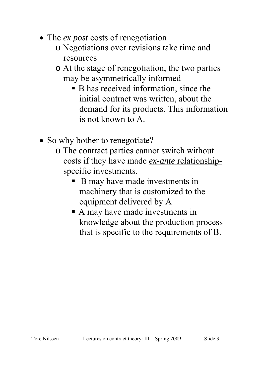- The *ex post* costs of renegotiation
	- o Negotiations over revisions take time and resources
	- o At the stage of renegotiation, the two parties may be asymmetrically informed
		- B has received information, since the initial contract was written, about the demand for its products. This information is not known to A.
- So why bother to renegotiate?
	- o The contract parties cannot switch without costs if they have made *ex-ante* relationshipspecific investments.
		- B may have made investments in machinery that is customized to the equipment delivered by A
		- A may have made investments in knowledge about the production process that is specific to the requirements of B.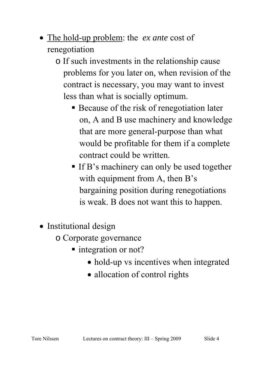- The hold-up problem: the *ex ante* cost of renegotiation
	- o If such investments in the relationship cause problems for you later on, when revision of the contract is necessary, you may want to invest less than what is socially optimum.
		- Because of the risk of renegotiation later on, A and B use machinery and knowledge that are more general-purpose than what would be profitable for them if a complete contract could be written.
		- If B's machinery can only be used together with equipment from A, then B's bargaining position during renegotiations is weak. B does not want this to happen.
- Institutional design
	- o Corporate governance
		- integration or not?
			- hold-up vs incentives when integrated
			- allocation of control rights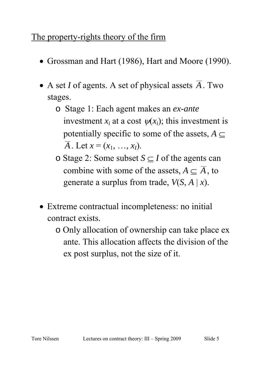### The property-rights theory of the firm

- Grossman and Hart (1986), Hart and Moore (1990).
- A set *I* of agents. A set of physical assets  $\overline{A}$ . Two stages.
	- o Stage 1: Each agent makes an *ex-ante* investment  $x_i$  at a cost  $\psi(x_i)$ ; this investment is potentially specific to some of the assets,  $A \subseteq$  $\overline{A}$ . Let  $x = (x_1, ..., x_l)$ .
	- o Stage 2: Some subset *S* ⊆ *I* of the agents can combine with some of the assets,  $A \subseteq \overline{A}$ , to generate a surplus from trade, *V*(*S*, *A* | *x*).
- Extreme contractual incompleteness: no initial contract exists.
	- o Only allocation of ownership can take place ex ante. This allocation affects the division of the ex post surplus, not the size of it.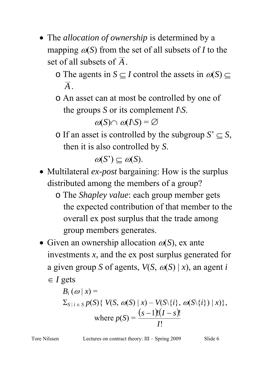- The *allocation of ownership* is determined by a mapping  $\omega(S)$  from the set of all subsets of *I* to the set of all subsets of *A*.
	- o The agents in  $S \subseteq I$  control the assets in  $\omega(S) \subseteq$ *A*.
	- o An asset can at most be controlled by one of the groups *S* or its complement *I*\*S*.

 $\omega(S) \cap \omega(\Lambda S) = \varnothing$ 

o If an asset is controlled by the subgroup  $S' \subseteq S$ , then it is also controlled by *S*.

 $\omega(S') \subset \omega(S)$ .

- Multilateral *ex-post* bargaining: How is the surplus distributed among the members of a group?
	- o The *Shapley value*: each group member gets the expected contribution of that member to the overall ex post surplus that the trade among group members generates.
- Given an ownership allocation  $\omega(S)$ , ex ante investments *x*, and the ex post surplus generated for a given group *S* of agents,  $V(S, \omega(S) | x)$ , an agent *i* ∈ *I* gets

$$
B_i(\omega | x) =
$$
  
\n
$$
\sum_{S \mid i \in S} p(S) \{ V(S, \omega(S) | x) - V(S \setminus \{i\}, \omega(S \setminus \{i\}) | x) \},
$$
  
\nwhere  $p(S) = \frac{(s-1)!(1-s)!}{1!}$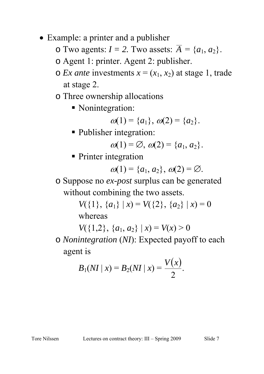- Example: a printer and a publisher
	- $\circ$  Two agents:  $I = 2$ . Two assets:  $\overline{A} = \{a_1, a_2\}.$
	- o Agent 1: printer. Agent 2: publisher.
	- $\circ$  *Ex ante* investments  $x = (x_1, x_2)$  at stage 1, trade at stage 2.
	- o Three ownership allocations
		- Nonintegration:

$$
\omega(1) = \{a_1\}, \omega(2) = \{a_2\}.
$$

**Publisher integration:** 

$$
\omega(1)=\emptyset, \omega(2)=\{a_1,a_2\}.
$$

**Printer integration** 

$$
\omega(1)=\{a_1,a_2\},\,\omega(2)=\varnothing.
$$

o Suppose no *ex-post* surplus can be generated without combining the two assets.

> *V*({1}, { $a_1$ } | *x*) = *V*({2}, { $a_2$ } | *x*) = 0 whereas

*V*({1,2}, { $a_1, a_2$ } | *x*) = *V*(*x*) > 0 o *Nonintegration* (*NI*): Expected payoff to each agent is

$$
B_1(NI \mid x) = B_2(NI \mid x) = \frac{V(x)}{2}
$$
.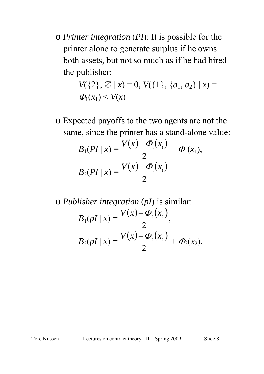o *Printer integration* (*PI*): It is possible for the printer alone to generate surplus if he owns both assets, but not so much as if he had hired the publisher:

$$
V(\{2\}, \emptyset \mid x) = 0, V(\{1\}, \{a_1, a_2\} \mid x) = \Phi_1(x_1) < V(x)
$$

o Expected payoffs to the two agents are not the same, since the printer has a stand-alone value:

$$
B_1(PI \mid x) = \frac{V(x) - \Phi_1(x_1)}{2} + \Phi_1(x_1),
$$
  
\n
$$
B_2(PI \mid x) = \frac{V(x) - \Phi_1(x_1)}{2}
$$

$$
\text{o } \text{Published} \text{in the gradient } (p\text{I}) \text{ is similar:}
$$
\n
$$
B_1(p\text{I} \mid x) = \frac{V(x) - \Phi_2(x_2)}{2},
$$
\n
$$
B_2(p\text{I} \mid x) = \frac{V(x) - \Phi_2(x_2)}{2} + \Phi_2(x_2).
$$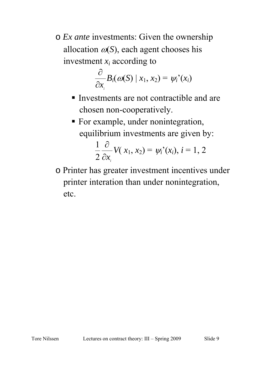o *Ex ante* investments: Given the ownership allocation  $\omega(S)$ , each agent chooses his investment *xi* according to

$$
\frac{\partial}{\partial x_i}B_i(\omega(S) \mid x_1, x_2) = \psi_i'(x_i)
$$

- Investments are not contractible and are chosen non-cooperatively.
- For example, under nonintegration, equilibrium investments are given by:

$$
\frac{1}{2}\frac{\partial}{\partial x_i}V(x_1,x_2)=\psi_i^{\prime}(x_i), i=1,2
$$

o Printer has greater investment incentives under printer interation than under nonintegration, etc.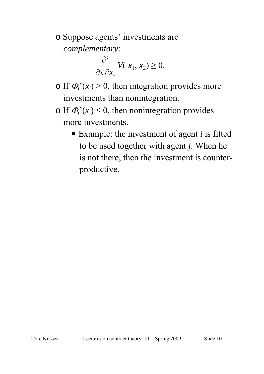o Suppose agents' investments are *complementary*:

$$
\frac{\partial^2}{\partial x_1 \partial x_2} V(x_1, x_2) \geq 0.
$$

- $\circ$  If  $\Phi_i$ <sup>'</sup>( $x_i$ ) > 0, then integration provides more investments than nonintegration.
- $\circ$  If  $\Phi_i^{\prime}(x_i) \leq 0$ , then nonintegration provides more investments.
	- Example: the investment of agent *i* is fitted to be used together with agent *j*. When he is not there, then the investment is counterproductive.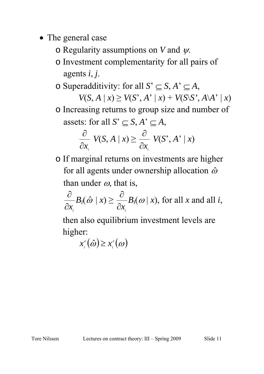- The general case
	- o Regularity assumptions on *V* and ψ.
	- o Investment complementarity for all pairs of agents *i*, *j*.

o Superadditivity: for all  $S' \subseteq S$ ,  $A' \subseteq A$ ,

 $V(S, A | x) \geq V(S', A' | x) + V(S \ S', A \ A' | x)$ o Increasing returns to group size and number of assets: for all  $S' \subseteq S$ ,  $A' \subseteq A$ ,

$$
\frac{\partial}{\partial x_i} V(S, A \mid x) \ge \frac{\partial}{\partial x_i} V(S^*, A^* \mid x)
$$

o If marginal returns on investments are higher for all agents under ownership allocation  $\hat{\omega}$ than under  $\omega$ , that is,

 $\partial x_i^{\dagger}$  $\frac{\partial}{\partial y}B_i(\hat{\omega} | x) \geq$ *i* ∂*x*  $\frac{\partial}{\partial y}B_i(\omega | x)$ , for all *x* and all *i*,

 then also equilibrium investment levels are higher:

 $x_i^e(\hat{\omega}) \geq x_i^e(\omega)$  $x_i^e(\hat{\omega}) \geq x$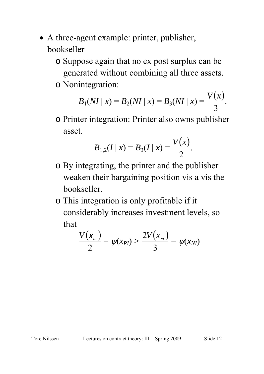- A three-agent example: printer, publisher, bookseller
	- o Suppose again that no ex post surplus can be generated without combining all three assets.
	- o Nonintegration:

$$
B_1(NI \mid x) = B_2(NI \mid x) = B_3(NI \mid x) = \frac{V(x)}{3}.
$$

o Printer integration: Printer also owns publisher asset.

$$
B_{1,2}(I \mid x) = B_3(I \mid x) = \frac{V(x)}{2}.
$$

- o By integrating, the printer and the publisher weaken their bargaining position vis a vis the bookseller.
- o This integration is only profitable if it considerably increases investment levels, so that

$$
\frac{V(x_{_{Pl}})}{2} - \psi(x_{PI}) > \frac{2V(x_{_{NI}})}{3} - \psi(x_{NI})
$$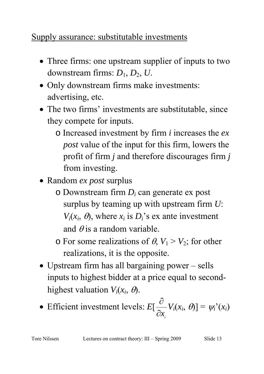# Supply assurance: substitutable investments

- Three firms: one upstream supplier of inputs to two downstream firms: *D*1, *D*2, *U*.
- Only downstream firms make investments: advertising, etc.
- The two firms' investments are substitutable, since they compete for inputs.
	- o Increased investment by firm *i* increases the *ex post* value of the input for this firm, lowers the profit of firm *j* and therefore discourages firm *j* from investing.
- Random *ex post* surplus
	- o Downstream firm *Di* can generate ex post surplus by teaming up with upstream firm *U*:  $V_i(x_i, \theta)$ , where  $x_i$  is  $D_i$ 's ex ante investment and  $\theta$  is a random variable.
	- $\circ$  For some realizations of  $\theta$ ,  $V_1 > V_2$ ; for other realizations, it is the opposite.
- Upstream firm has all bargaining power sells inputs to highest bidder at a price equal to secondhighest valuation  $V_i(x_i, \theta)$ .
- Efficient investment levels: *E*[  $\partial x$ <sub>*i*</sub>  $\frac{\partial}{\partial y}V_i(x_i, \theta) = \psi_i(x_i)$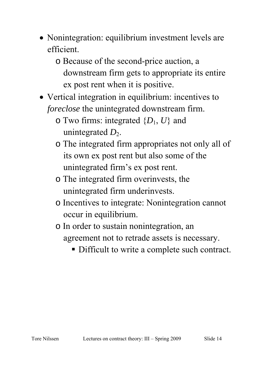- Nonintegration: equilibrium investment levels are efficient.
	- o Because of the second-price auction, a downstream firm gets to appropriate its entire ex post rent when it is positive.
- Vertical integration in equilibrium: incentives to *foreclose* the unintegrated downstream firm.
	- o Two firms: integrated {*D*1, *U*} and unintegrated  $D_2$ .
	- o The integrated firm appropriates not only all of its own ex post rent but also some of the unintegrated firm's ex post rent.
	- o The integrated firm overinvests, the unintegrated firm underinvests.
	- o Incentives to integrate: Nonintegration cannot occur in equilibrium.
	- o In order to sustain nonintegration, an agreement not to retrade assets is necessary.
		- Difficult to write a complete such contract.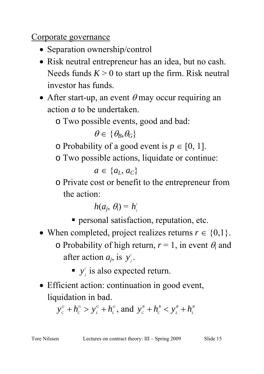#### Corporate governance

- Separation ownership/control
- Risk neutral entrepreneur has an idea, but no cash. Needs funds  $K > 0$  to start up the firm. Risk neutral investor has funds.
- After start-up, an event  $\theta$  may occur requiring an action *a* to be undertaken.

o Two possible events, good and bad:

 $\theta \in {\theta_R, \theta_G}$ 

o Probability of a good event is  $p \in [0, 1]$ .

o Two possible actions, liquidate or continue:

 $a \in \{a_L, a_C\}$ 

o Private cost or benefit to the entrepreneur from the action:

$$
h(a_j, \theta_i) = h_j^i
$$

- personal satisfaction, reputation, etc.
- When completed, project realizes returns  $r \in \{0,1\}$ . o Probability of high return,  $r = 1$ , in event  $\theta_i$  and after action  $a_j$ , is  $y_j^i$ .
	- $\bullet$  *y*<sup>*i*</sup> is also expected return.
- Efficient action: continuation in good event, liquidation in bad.

*G L G L G C*  $y_c^G + h_c^G > y_L^G + h_L^G$ , and  $y_c^B + h_c^B < y_L^B + h_L^B$ *B L B C*  $y_c^{\textit{B}} + h_c^{\textit{B}} < y_L^{\textit{B}} + h_c^{\textit{B}}$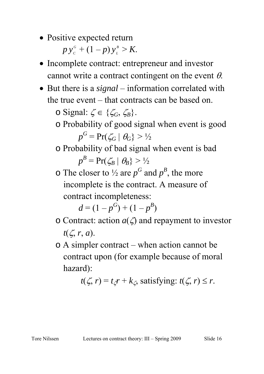• Positive expected return

 $p y_c^G + (1-p) y_L^B > K.$ 

- Incomplete contract: entrepreneur and investor cannot write a contract contingent on the event  $\theta$ .
- But there is a *signal* information correlated with the true event – that contracts can be based on.

o Signal:  $\zeta \in \{\zeta_G, \zeta_B\}.$ 

- o Probability of good signal when event is good  $p^{G} = Pr(\zeta_{G} | \theta_{G}) > \frac{1}{2}$
- o Probability of bad signal when event is bad  $p^B = Pr(\zeta_B | \theta_B) > \frac{1}{2}$
- $\circ$  The closer to  $\frac{1}{2}$  are  $p^G$  and  $p^B$ , the more incomplete is the contract. A measure of contract incompleteness:

 $d = (1 - p^G) + (1 - p^B)$ 

- o Contract: action  $a(\zeta)$  and repayment to investor *t*(ζ, *r*, *a*).
- o A simpler contract when action cannot be contract upon (for example because of moral hazard):

$$
t(\zeta, r) = t_{\zeta}r + k_{\zeta}
$$
, satisfying:  $t(\zeta, r) \le r$ .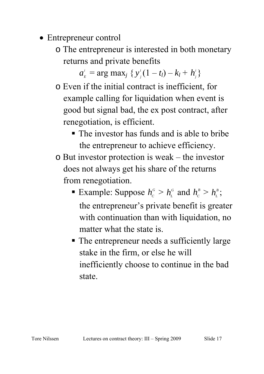- Entrepreneur control
	- o The entrepreneur is interested in both monetary returns and private benefits

 $a_{E}^{i}$  = arg max<sub>*j*</sub> {  $y_{i}^{i}$ (1 – *t<sub>l</sub>*) –  $k_{l}$  +  $h_{i}^{i}$ }

- o Even if the initial contract is inefficient, for example calling for liquidation when event is good but signal bad, the ex post contract, after renegotiation, is efficient.
	- The investor has funds and is able to bribe the entrepreneur to achieve efficiency.
- o But investor protection is weak the investor does not always get his share of the returns from renegotiation.
	- Example: Suppose  $h_c^G > h_L^G$  and  $h_c^B > h_L^B$ ; the entrepreneur's private benefit is greater with continuation than with liquidation, no matter what the state is.
	- The entrepreneur needs a sufficiently large stake in the firm, or else he will inefficiently choose to continue in the bad state.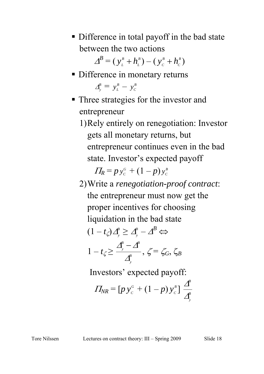**Difference in total payoff in the bad state** between the two actions

> $\boldsymbol{\Delta}^{\!\mathcal{B}}\mathcal{=}\mathcal{(\,}\boldsymbol{y}_{\scriptscriptstyle L}^{\scriptscriptstyle B}\mathcal{+}\boldsymbol{h}_{\scriptscriptstyle L}^{\scriptscriptstyle B}$  $\left(y_{\scriptscriptstyle L}^{\scriptscriptstyle B} + h_{\scriptscriptstyle L}^{\scriptscriptstyle B}\right) - \left(\,y_{\scriptscriptstyle C}^{\scriptscriptstyle B} + h_{\scriptscriptstyle C}^{\scriptscriptstyle B}\right)$  $y_c^B + h_c^B$

• Difference in monetary returns

 $\Delta_j^B = y_L^B - y_C^B$ 

- Three strategies for the investor and entrepreneur
	- 1)Rely entirely on renegotiation: Investor gets all monetary returns, but entrepreneur continues even in the bad state. Investor's expected payoff

 $\Pi_R = p y_c^c + (1-p) y_c^b$ 

2)Write a *renegotiation-proof contract*: the entrepreneur must now get the proper incentives for choosing liquidation in the bad state  $(1-t_{\zeta})\mathcal{\mathcal{\mathcal{\mathcal{L}}}}_{\mathcal{\mathcal{Y}}}^{\mathcal{\mathcal{B}}}\geq\mathcal{\mathcal{\mathcal{L}}}_{\mathcal{\mathcal{Y}}}^{\mathcal{\mathcal{B}}}-\mathcal{\mathcal{\mathcal{L}}}^{\mathcal{\mathcal{B}}}\Leftrightarrow$ *B B*  $\overline{\Delta}^{\!\scriptscriptstyle B}_{\!\scriptscriptstyle \rm v}$   $\overline{\Delta}^{\!\scriptscriptstyle B}$ 

$$
1-t_{\zeta}\geq \frac{\Delta_y^2-\Delta_y^2}{\Delta_y^B},\ \zeta=\zeta_G,\ \zeta_B
$$

Investors' expected payoff:

$$
\Pi_{NR} = [p \, y_c^{\,c} + (1-p) \, y_c^{\,s}] \, \frac{\Delta^B}{\Delta_y^B}
$$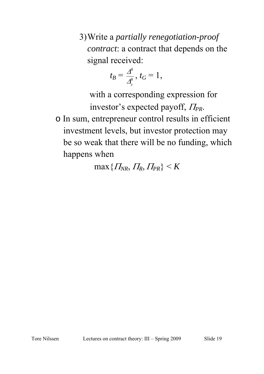3)Write a *partially renegotiation-proof contract*: a contract that depends on the signal received:

$$
t_B=\frac{\Delta^B}{\Delta^B_y},\ t_G=1,
$$

 with a corresponding expression for investor's expected payoff, <sup>Π</sup>*PR*. o In sum, entrepreneur control results in efficient investment levels, but investor protection may be so weak that there will be no funding, which happens when

 $\max\{ \Pi_{NR}, \Pi_{R}, \Pi_{PR}\} \leq K$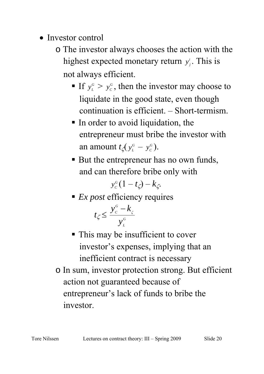- Investor control
	- o The investor always chooses the action with the highest expected monetary return  $y_j^i$ . This is not always efficient.
		- If  $y_L^G > y_C^G$ , then the investor may choose to liquidate in the good state, even though continuation is efficient. – Short-termism.
		- In order to avoid liquidation, the entrepreneur must bribe the investor with an amount  $t_{\zeta}(y_L^c - y_C^c)$ .
		- But the entrepreneur has no own funds, and can therefore bribe only with

$$
y_c^c(1-t_{\zeta})-k_{\zeta}.
$$

■ *Ex post* efficiency requires

$$
t_{\zeta} \le \frac{y_c^{\sigma} - k_{\zeta}}{y_L^{\sigma}}
$$

- This may be insufficient to cover investor's expenses, implying that an inefficient contract is necessary
- o In sum, investor protection strong. But efficient action not guaranteed because of entrepreneur's lack of funds to bribe the investor.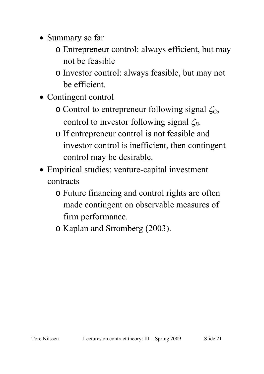- Summary so far
	- o Entrepreneur control: always efficient, but may not be feasible
	- o Investor control: always feasible, but may not be efficient.
- Contingent control
	- o Control to entrepreneur following signal ζ*G*, control to investor following signal ζ*B*.
	- o If entrepreneur control is not feasible and investor control is inefficient, then contingent control may be desirable.
- Empirical studies: venture-capital investment contracts
	- o Future financing and control rights are often made contingent on observable measures of firm performance.
	- o Kaplan and Stromberg (2003).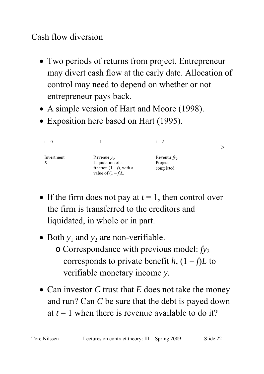### Cash flow diversion

- Two periods of returns from project. Entrepreneur may divert cash flow at the early date. Allocation of control may need to depend on whether or not entrepreneur pays back.
- A simple version of Hart and Moore (1998).
- Exposition here based on Hart (1995).

| $t = 0$         | $t = 1$                                                                                 | $t = 2$                                      |  |
|-----------------|-----------------------------------------------------------------------------------------|----------------------------------------------|--|
| Investment<br>К | Revenue $y_1$ .<br>Liquidation of a<br>fraction $(1-f)$ , with a<br>value of $(1-f)L$ . | Revenue $f_{y_2}$ .<br>Project<br>completed. |  |

- If the firm does not pay at  $t = 1$ , then control over the firm is transferred to the creditors and liquidated, in whole or in part.
- Both  $y_1$  and  $y_2$  are non-verifiable.
	- o Correspondance with previous model: *fy*<sup>2</sup> corresponds to private benefit *h*,  $(1 - f)L$  to verifiable monetary income *y*.
- Can investor *C* trust that *E* does not take the money and run? Can *C* be sure that the debt is payed down at  $t = 1$  when there is revenue available to do it?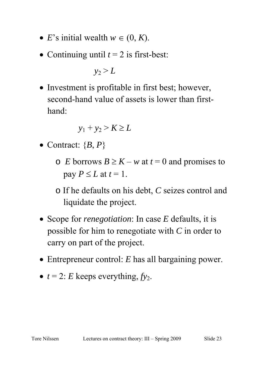- *E*'s initial wealth  $w \in (0, K)$ .
- Continuing until  $t = 2$  is first-best:

 $y_2 > L$ 

• Investment is profitable in first best; however, second-hand value of assets is lower than firsthand:

$$
y_1 + y_2 > K \ge L
$$

- Contract:  ${B, P}$ 
	- $\circ$  *E* borrows  $B \ge K w$  at  $t = 0$  and promises to pay  $P \leq L$  at  $t = 1$ .
	- o If he defaults on his debt, *C* seizes control and liquidate the project.
- Scope for *renegotiation*: In case *E* defaults, it is possible for him to renegotiate with *C* in order to carry on part of the project.
- Entrepreneur control: *E* has all bargaining power.
- $t = 2$ : *E* keeps everything,  $f_{y_2}$ .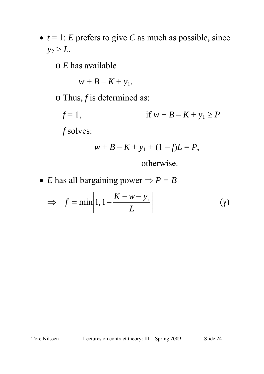•  $t = 1$ : *E* prefers to give *C* as much as possible, since  $y_2 > L$ .

o *E* has available

$$
w+B-K+y_1.
$$

o Thus, *f* is determined as:

*f* = 1, if  $w + B - K + y_1 \ge P$ *f* solves:

$$
w + B - K + y_1 + (1 - f)L = P,
$$

otherwise.

• *E* has all bargaining power  $\Rightarrow$  *P* = *B* 

$$
\Rightarrow f = \min\left[1, 1 - \frac{K - w - y_1}{L}\right] \tag{9}
$$